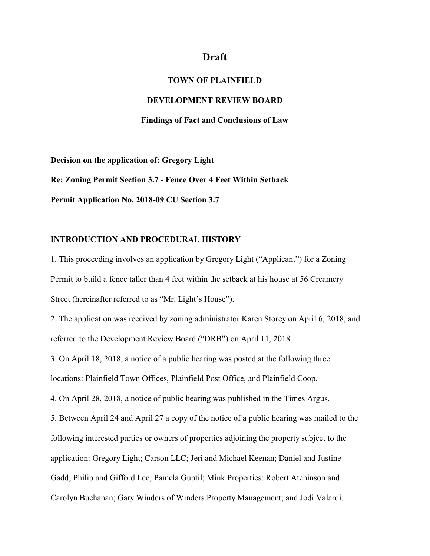# **Draft**

### **TOWN OF PLAINFIELD**

### **DEVELOPMENT REVIEW BOARD**

### **Findings of Fact and Conclusions of Law**

**Decision on the application of: Gregory Light Re: Zoning Permit Section 3.7 - Fence Over 4 Feet Within Setback Permit Application No. 2018-09 CU Section 3.7**

# **INTRODUCTION AND PROCEDURAL HISTORY**

1. This proceeding involves an application by Gregory Light ("Applicant") for a Zoning Permit to build a fence taller than 4 feet within the setback at his house at 56 Creamery Street (hereinafter referred to as "Mr. Light's House").

2. The application was received by zoning administrator Karen Storey on April 6, 2018, and referred to the Development Review Board ("DRB") on April 11, 2018.

3. On April 18, 2018, a notice of a public hearing was posted at the following three locations: Plainfield Town Offices, Plainfield Post Office, and Plainfield Coop.

4. On April 28, 2018, a notice of public hearing was published in the Times Argus.

5. Between April 24 and April 27 a copy of the notice of a public hearing was mailed to the following interested parties or owners of properties adjoining the property subject to the application: Gregory Light; Carson LLC; Jeri and Michael Keenan; Daniel and Justine Gadd; Philip and Gifford Lee; Pamela Guptil; Mink Properties; Robert Atchinson and Carolyn Buchanan; Gary Winders of Winders Property Management; and Jodi Valardi.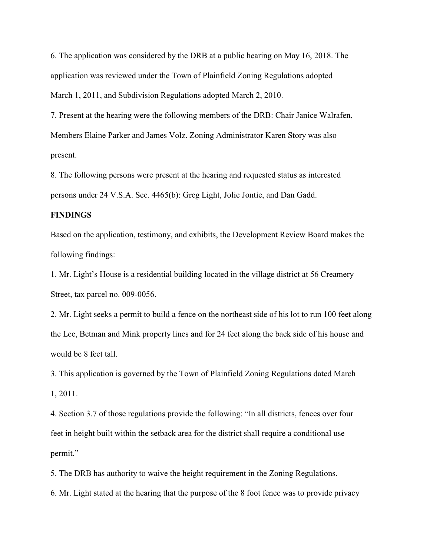6. The application was considered by the DRB at a public hearing on May 16, 2018. The application was reviewed under the Town of Plainfield Zoning Regulations adopted March 1, 2011, and Subdivision Regulations adopted March 2, 2010.

7. Present at the hearing were the following members of the DRB: Chair Janice Walrafen, Members Elaine Parker and James Volz. Zoning Administrator Karen Story was also present.

8. The following persons were present at the hearing and requested status as interested persons under 24 V.S.A. Sec. 4465(b): Greg Light, Jolie Jontie, and Dan Gadd.

#### **FINDINGS**

Based on the application, testimony, and exhibits, the Development Review Board makes the following findings:

1. Mr. Light's House is a residential building located in the village district at 56 Creamery Street, tax parcel no. 009-0056.

2. Mr. Light seeks a permit to build a fence on the northeast side of his lot to run 100 feet along the Lee, Betman and Mink property lines and for 24 feet along the back side of his house and would be 8 feet tall.

3. This application is governed by the Town of Plainfield Zoning Regulations dated March 1, 2011.

4. Section 3.7 of those regulations provide the following: "In all districts, fences over four feet in height built within the setback area for the district shall require a conditional use permit."

5. The DRB has authority to waive the height requirement in the Zoning Regulations.

6. Mr. Light stated at the hearing that the purpose of the 8 foot fence was to provide privacy